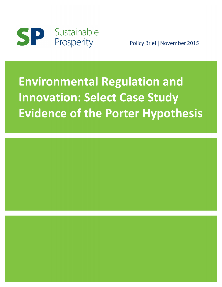

Policy Brief | November 2015

# **Environmental Regulation and Innovation: Select Case Study Evidence of the Porter Hypothesis**

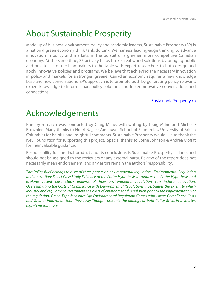## About Sustainable Prosperity

Made up of business, environment, policy and academic leaders, Sustainable Prosperity (SP) is a national green economy think tank/do tank. We harness leading-edge thinking to advance innovation in policy and markets, in the pursuit of a greener, more competitive Canadian economy. At the same time, SP actively helps broker real-world solutions by bringing public and private sector decision-makers to the table with expert researchers to both design and apply innovative policies and programs. We believe that achieving the necessary innovation in policy and markets for a stronger, greener Canadian economy requires a new knowledge base and new conversations. SP's approach is to promote both by generating policy-relevant, expert knowledge to inform smart policy solutions and foster innovative conversations and connections.

#### [SustainableProsperity.ca](http://www.sustainableprosperity.ca)

## Acknowledgements

Primary research was conducted by Craig Milne, with writing by Craig Milne and Michelle Brownlee. Many thanks to Nouri Najjar (Vancouver School of Economics, University of British Columbia) for helpful and insightful comments. Sustainable Prosperity would like to thank the Ivey Foundation for supporting this project. Special thanks to Lorne Johnson & Andrea Moffat for their valuable guidance.

Responsibility for the final product and its conclusions is Sustainable Prosperity's alone, and should not be assigned to the reviewers or any external party. Review of the report does not necessarily mean endorsement, and any errors remain the authors' responsibility.

*This Policy Brief belongs to a set of three papers on environmental regulation. Environmental Regulation and Innovation: Select Case Study Evidence of the Porter Hypothesis introduces the Porter Hypothesis and explores recent case study analysis of how environmental regulation can induce innovation; Overestimating the Costs of Compliance with Environmental Regulations investigates the extent to which industry and regulators overestimate the costs of environmental regulation prior to the implementation of the regulation. Green Tape Measures Up: Environmental Regulation Comes with Lower Compliance Costs and Greater Innovation than Previously Thought presents the findings of both Policy Briefs in a shorter, high-level summary.*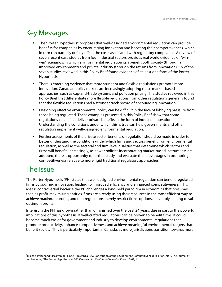### Key Messages

- The "Porter Hypothesis" proposes that well-designed environmental regulation can provide benefits for companies by encouraging innovation and boosting their competitiveness, which in turn can partially or fully offset the costs associated with regulatory compliance. A review of seven recent case studies from four industrial sectors provides real world evidence of "winwin" scenarios, in which environmental regulation can benefit both society (through an improved environment) and private industry (through the returns from innovation). Six of the seven studies reviewed in this Policy Brief found evidence of at least one form of the Porter Hypothesis.
- There is emerging evidence that more stringent and flexible regulations promote more innovation. Canadian policy makers are increasingly adopting these market-based approaches, such as cap-and-trade systems and pollution pricing. The studies reviewed in this Policy Brief that differentiate more flexible regulations from other regulations generally found that the flexible regulations had a stronger track record of encouraging innovation.
- Designing effective environmental policy can be difficult in the face of lobbying pressure from those being regulated. These examples presented in this Policy Brief show that some regulations can in fact deliver private benefits in the form of induced innovation. Understanding the conditions under which this is true can help governments and other regulators implement well-designed environmental regulation.
- Further assessments of the private sector benefits of regulation should be made in order to better understand the conditions under which firms and sectors benefit from environmental regulation, as well as the sectoral and firm-level qualities that determine which sectors and firms will benefit. Increasingly, as newer policies incorporating market-based instruments are adopted, there is opportunity to further study and evaluate their advantages in promoting competitiveness relative to more rigid traditional regulatory approaches.

## The Issue

<u> 1989 - Jan Samuel Barbara, margaret e</u>

The Porter Hypothesis (PH) states that well designed environmental regulation can benefit regulated firms by spurring innovation, leading to improved efficiency and enhanced competitiveness.<sup>1</sup> This idea is controversial because the PH challenges a long-held paradigm in economics that presumes that, as profit-maximizing entities, firms are already using their resources in the most efficient way to achieve maximum profits, and that regulations merely restrict firms' options, inevitably leading to suboptimum profits.2

Interest in the PH has grown rather than diminished over the past 24 years, due in part to the powerful implications of this hypothesis. If well-crafted regulations can be proven to benefit firms, it could become much easier for government and industry to develop environmental regulations that promote productivity, enhance competitiveness and achieve meaningful environmental targets that benefit society. This is particularly important in Canada, as more jurisdictions transition towards more

<sup>&</sup>lt;sup>1</sup>Michael Porter and Claas van der Linde, "Toward a New Conception of the Environment-Competitiveness Relationship ", The Journal of <sup>2</sup>Ambos of all the Dournal of <sup>2</sup>Ambos of all the Porter Hypothesis at 20". *Pescures f* Ambec et al, "The Porter Hypothesis at 20", *Resources for the Future Discussion Paper* 11-01, 1.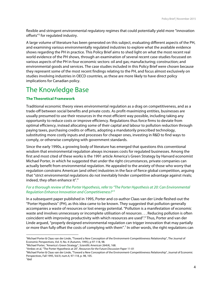flexible and stringent environmental regulatory regimes that could potentially yield more "innovation offsets"3 for regulated industry.

A large volume of literature has been generated on this subject, evaluating different aspects of the PH, and examining various environmentally regulated industries to explore what the available evidence shows regarding the PH in practice. This Policy Brief aims to shed light on what the most recent real world evidence of the PH shows, through an examination of several recent case-studies focussed on various aspects of the PH in four economic sectors: oil and gas; manufacturing; construction; and environmental goods and services. The case studies included in this Policy Brief were chosen because they represent some of the most recent findings relating to the PH, and focus almost exclusively on studies involving industries in OECD countries, as these are more likely to have direct policy implications for Canadian policy.

## The Knowledge Base

#### **The Theoretical Framework**

Traditional economic theory views environmental regulation as a drag on competitiveness, and as a trade-off between social benefits and private costs. As profit-maximizing entities, businesses are usually presumed to use their resources in the most efficient way possible, including taking any opportunity to reduce costs or improve efficiency. Regulations thus force firms to deviate from optimal efficiency, instead allocating some of their capital and labour to pollution reduction through paying taxes, purchasing credits or offsets, adopting a mandatorily prescribed technology, substituting more costly inputs and processes for cheaper ones, investing in R&D to find ways to comply, or otherwise complying with government standards.

Since the early 1990s, a growing body of literature has emerged that questions this conventional wisdom that environmental regulation always increases costs for regulated businesses. Among the first and most cited of these works is the 1991 article America's Green Strategy by Harvard economist Michael Porter, in which he suggested that under the right circumstances, private companies can actually benefit from environmental regulation. He appealed to the anxiety of those who worry that regulation constrains American (and other) industries in the face of fierce global competition, arguing that "strict environmental regulations do not inevitably hinder competitive advantage against rivals; indeed, they often enhance it".<sup>4</sup>

#### *For a thorough review of the Porter Hypothesis, refer to "The Porter Hypothesis at 20: Can Environmental Regulation Enhance Innovation and Competitiveness?" <sup>5</sup>*

In a subsequent paper published in 1995, Porter and co-author Claas van der Linde fleshed-out the "Porter Hypothesis" (PH), as this idea came to be known. They suggested that pollution generally accompanies a waste of resources or lost energy potential. "Pollution is a manifestation of economic waste and involves unnecessary or incomplete utilisation of resources . . . Reducing pollution is often coincident with improving productivity with which resources are used".6 Thus, Porter and van der Linde argued, "properly designed environmental regulation can trigger innovation that may partially or more than fully offset the costs of complying with them".7 In other words, the right regulations can

<sup>3</sup> Michael Porter & Claas van der Linde, "Toward a New Conception of the Environment-Competitiveness Relationship", The Journal of Economic Perspectives, Vol. 9, No. 4 (Autumn, 1995), p 97-118, 98.

<sup>4</sup> Michael Porter, "America's Green Strategy", *Scientific American* 264(4), 168.

<sup>5</sup> Ambec et al, "The Porter Hypothesis at 20", *Resources for the Future Discussion Paper* 11-01

<sup>6</sup> Michael Porter & Claas van der Linde, "Toward a New Conception of the Environment-Competitiveness Relationship", Journal of Economic Perspectives, Fall 1995, Vol.9, num.4, 97-118, p. 98, 105.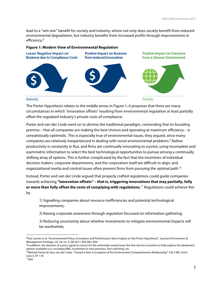lead to a "win-win" benefit for society and industry, where not only does society benefit from reduced environmental degradation, but industry benefits from increased profits through improvements in efficiency.<sup>8</sup>

#### **Figure 1: Modern View of Environmental Regulation**



The Porter Hypothesis relates to the middle arrow in Figure 1; it proposes that there are many circumstances in which "innovation offsets" resulting from environmental regulation at least partially offset the regulated industry's private costs of compliance.

Porter and van der Linde went on to dismiss the traditional paradigm, contending that its founding premise – that all companies are making the best choices and operating at maximum efficiency – is unrealistically optimistic. This is especially true of environmental issues, they argued, since many companies are relatively inexperienced in dealing with novel environmental problems.<sup>9</sup> Rather, productivity is constantly in flux, and firms are continually innovating to survive, using incomplete and asymmetric information to select the best technological opportunities to pursue among a continually shifting array of options. This is further complicated by the fact that the incentives of individual decision makers, corporate departments, and the corporation itself are difficult to align, and organizational inertia and control issues often prevent firms from pursuing the optimal path.<sup>10</sup>

Instead, Porter and van der Linde argued that properly crafted regulations could guide companies towards achieving **"innovation offsets" – that is, triggering innovations that may partially, fully or more than fully offset the costs of complying with regulations.** <sup>11</sup> Regulations could achieve this by

1) Signalling companies about resource inefficiencies and potential technological improvements;

2) Raising corporate awareness through regulation focussed on information gathering;

3) Reducing uncertainty about whether investments to mitigate environmental impacts will be worthwhile;

<sup>&</sup>lt;sup>8</sup>Paul Lanoie et al, "Environmental Policy, Innovation and Performance: New Insights on the Porter Hypothesis", Journal of Economics & Management Strategy, vol. 20, no. 3, fall 2011, 803-842, 804.

<sup>9</sup> In addition, the absence of a price signal to correct for the externality would mean the firm has less incentive to fully explore the abatement options available to it, including R&D, investment in new practices, fuel-switching, etc. 10Michael Porter & Claas van der Linde, "Toward a New Conception of the Environment-Competitiveness Relationship", Fall 1995, Vol.9,

num.4, 97-118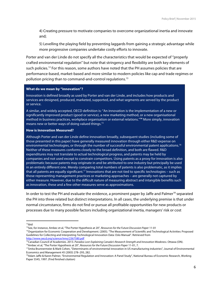4) Creating pressure to motivate companies to overcome organizational inertia and innovate and;

5) Levelling the playing field by preventing laggards from gaining a strategic advantage while more progressive companies undertake costly efforts to innovate.

Porter and van der Linde do not specify all the characteristics that would be expected of "properly crafted environmental regulation" but note that stringency and flexibility are both key elements of such policies.<sup>12</sup> For this reason, some authors have noted that the PH assumes policies that are performance-based, market-based and more similar to modern policies like cap and trade regimes or pollution pricing than to command-and-control regulations.<sup>13</sup>

#### **What do we mean by "innovation"?**

Innovation is defined broadly as used by Porter and van der Linde, and includes how products and services are designed, produced, marketed, supported, and what segments are served by the product or service.

A similar, and widely accepted, OECD definition is: "An innovation is the implementation of a new or significantly improved product (good or service), a new marketing method, or a new organisational method in business practices, workplace organisation or external relations."**<sup>14</sup>** More simply, innovation means new or better ways of doing valued things.<sup>15</sup>

#### **How is Innovation Measured?**

Although Porter and van der Linde define innovation broadly, subsequent studies (including some of those presented in this paper) have generally measured innovation through either R&D expense on environmental technologies, or through the number of successful environmental patent applications.<sup>16</sup> Neither of these measures conforms closely to the broad definition, and both are flawed. R&D expenditures may not translate to actual technological progress, and patents may be held by companies and not used except to constrain competitors. Using patents as a proxy for innovation is also problematic because patents may originate in and be attributed to one industry but principally be used in an entirely different one. Merely comparing total numbers of patents is also problematic, as it implies that all patents are equally significant.<sup>17</sup> Innovations that are not tied to specific technologies – such as those representing management practices or marketing approaches – are generally not captured by either measure. However, due to the difficult nature of measuring abstract and intangible benefits such as innovation, these and a few other measures serve as approximations.

In order to test the PH and evaluate the evidence, a prominent paper by Jaffe and Palmer<sup>18</sup> separated the PH into three related but distinct interpretations. In all cases, the underlying premise is that under normal circumstance, firms do not find or pursue all profitable opportunities for new products or processes due to many possible factors including organizational inertia, managers' risk or cost

http://www.oecd.org/science/inno/2367580.pdf

 $12$ ibid

<sup>13</sup>See, for instance, Ambec et al, "The Porter Hypothesis at 20", *Resources for the Future Discussion Paper* 11-01

<sup>&</sup>lt;sup>14</sup>Organization for Economic Cooperation and Development. (2005). "The Measurement of Scientific and Technological Activities: Proposed Guidelines for Collecting and Interpreting Technological Innovation Data: Oslo Manual". Retrieved from

<sup>&</sup>lt;sup>15</sup>Canadian Council of Academies. 2013. *Paradox Lost: Explaining Canada's Research Strength and Innovation Weakness*. Ottawa (ON).

<sup>16</sup>Ambec et al, "The Porter Hypothesis at 20", *Resources for the Future Discussion Paper* 11-01, 7.

<sup>&</sup>lt;sup>17</sup>Smita Brunnermeier & Mark Cohen, "Determinants of environmental innovation in US manufacturing industries", Journal of Environmental Economics and Management 45 (2003) 278–293, 282.

<sup>&</sup>lt;sup>18</sup>Adam Jaffe & Karen Palmer, "Environmental Regulation and Innovation: A Panel Study", National Bureau of Economic Research, Working Paper 5545, 1997. (Find finished citation)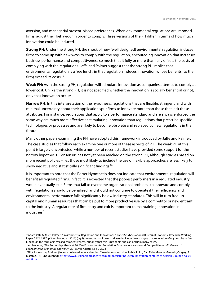aversion, and managerial present-biased preferences. When environmental regulations are imposed, firms' adjust their behaviour in order to comply. Three versions of the PH differ in terms of how much innovation could be induced.

**Strong PH:** Under the strong PH, the shock of new (well designed) environmental regulation induces firms to come up with new ways to comply with the regulation, encouraging innovation that increases business performance and competitiveness so much that it fully or more than fully offsets the costs of complying with the regulations. Jaffe and Palmer suggest that the strong PH implies that environmental regulation is a free lunch, in that regulation induces innovation whose benefits (to the firm) exceed its costs.<sup>19</sup>

**Weak PH:** As in the strong PH, regulation will stimulate innovation as companies attempt to comply at lower cost. Unlike the strong PH, it is not specified whether the innovation is socially beneficial or not, only that innovation occurs.

**Narrow PH:** In this interpretation of the hypothesis, regulations that are flexible, stringent, and with minimal uncertainty about their application spur firms to innovate more than those that lack these attributes. For instance, regulations that apply to a performance standard and are always enforced the same way are much more effective at stimulating innovation than regulations that prescribe specific technologies or processes and are likely to become obsolete and replaced by new regulations in the future.

Many other papers examining the PH have adopted this framework introduced by Jaffe and Palmer. The case studies that follow each examine one or more of these aspects of PH. The weak PH at this point is largely uncontested, while a number of recent studies have provided some support for the narrow hypothesis. Consensus has not yet been reached on the strong PH, although studies based on more recent policies – i.e., those most likely to include the use of flexible approaches are less likely to show negative and statistically significant findings.<sup>20</sup>

It is important to note that the Porter Hypothesis does not indicate that environmental regulation will benefit all regulated firms. In fact, it is expected that the poorest performers in a regulated industry would eventually exit. Firms that fail to overcome organizational problems to innovate and comply with regulations should be penalized, and should not continue to operate if their efficiency and environmental performance falls significantly below industry standards. This will in turn free-up capital and human resources that can be put to more productive use by a competitor or new entrant to the industry. A regular rate of firm entry and exit is important to maintaining innovation in industries.<sup>21</sup>

 

<sup>&</sup>lt;sup>19</sup>Adam Jaffe & Karen Palmer, "Environmental Regulation and Innovation: A Panel Study", National Bureau of Economic Research, Working Paper 5545, 1997, p 3; Ambec et al. (2011) (pg 4) point-out that Porter and van der Linde do not argue that regulation *always* results in free lunches in the form of increased competitiveness, but only that this is probable and can occur in many cases.

<sup>20</sup>Ambec et al, "The Porter Hypothesis at 20: Can Environmental Regulation Enhance Innovation and Competitiveness?", *Review of Environmental Economics and Policy* (2013), vol 7, issue 1,pp 2-22, 8.

<sup>&</sup>lt;sup>21</sup>Nick Johnstone, Address (Lecture delivered at 'Accelerating Clean Innovation: How Public Policy Can Drive Greener Growth', Calgary, 31 March 2015) [unpublished], http://www.sustainableprosperity.ca/blog/accelerating-clean-innovation-conference-session-2-public-policysolutions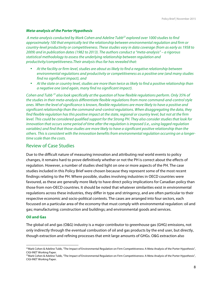#### *Meta-analysis of the Porter Hypothesis*

*A meta-analysis conducted by Mark Cohen and Adeline Tubb22 explored over 1000 studies to find approximately 100 that empirically test the relationship between environmental regulation and firm or country-level productivity or competitiveness. These studies vary in data coverage (from as early as 1958 to 2009) and in publication dates (1982 to 2013). The authors conduct a "meta-analysis" – a rigorous statistical methodology to assess the underlying relationship between regulation and productivity/competitiveness.Their analysis thus far has revealed that:*

- *At the facility or firm-level, studies are about as likely to find a negative relationship between environmental regulations and productivity or competitiveness as a positive one (and many studies find no significant impact), and*
- *At the state or country level, studies are more than twice as likely to find a positive relationship than a negative one (and again, many find no significant impact).*

*Cohen and Tubb <sup>23</sup> also look specifically at the question of how flexible regulations perform. Only 35% of the studies in their meta-analysis differentiate flexible regulations from more command-and-control style ones. When the level of significance is known, flexible regulations are more likely to have a positive and significant relationship than the command-and-control regulations. When disaggregating the data, they find flexible regulation has this positive impact at the state, regional or country level, but not at the firm level. This could be considered qualified support for the Strong PH. They also consider studies that look for innovation that occurs some period of time after the regulation is imposed (i.e., using lagged regulation variables) and find that those studies are more likely to have a significant positive relationship than the others. This is consistent with the innovation benefits from environmental regulation occurring on a longertime scale than the costs.*

#### Review of Case Studies

Due to the difficult nature of measuring innovation and attributing real world events to policy changes, it remains hard to prove definitively whether or not the PH is correct about the effects of regulation. However, a number of studies shed light on one or more aspects of the PH. The case studies included in this Policy Brief were chosen because they represent some of the most recent findings relating to the PH. Where possible, studies involving industries in OECD countries were favoured, as these are generally more likely to have direct policy implications for Canadian policy than those from non-OECD countries. It should be noted that whatever similarities exist in environmental regulations across these industries, they differ in type and stringency, and are often particular to their respective economic and socio-political contexts. The cases are arranged into four sectors, each focussed on a particular area of the economy that must comply with environmental regulation: oil and gas; manufacturing; construction and buildings; and environmental goods and services.

#### **Oil and Gas**

<u> 1989 - Jan Samuel Barbara, margaret e</u>

The global oil and gas (O&G) industry is a major contributor to greenhouse gas (GHG) emissions, not only indirectly through the eventual combustion of oil and gas products by the end user, but directly, though extraction and refining processes that emit large amounts of GHGs. O&G extraction also

 $^{22}$ Mark Cohen & Adeline Tubb, "The Impact of Environmental Regulation on Firm Competitiveness: A Meta-Analysis of the Porter Hypothesis", CIGI-INET Working Paper.

<sup>&</sup>lt;sup>23</sup> Mark Cohen & Adeline Tubb, "The Impact of Environmental Regulation on Firm Competitiveness: A Meta-Analysis of the Porter Hypothesis", CIGI-INET Working Paper.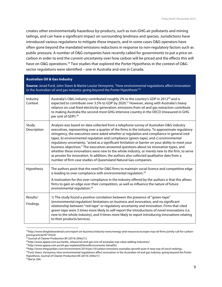creates other environmentally hazardous by-products, such as non-GHG air pollutants and mining tailings, and can have a significant impact on surrounding landmass and species. Jurisdictions have introduced various regulations to mitigate these impacts, and in some cases O&G operators have often gone beyond the mandated emissions reductions in response to non-regulatory factors such as public pressure. A number of O&G companies have recently called for governments to put a price on carbon in order to end the current uncertainty over how carbon will be priced and the effects this will have on O&G operations.<sup>24</sup> Two studies that explored the Porter Hypothesis in the context of O&G sector regulations were identified – one in Australia and one in Canada.

#### **Australian Oil & Gas Industry**

**Source:** Jerad Ford, John Steen & Martie Louise Verreynne, "How environmental regulations affect innovation in the Australian oil and gas industry: going beyond the Porter Hypothesis"25

| Industry<br>Context  | Australia's O&G industry contributed roughly 2% to the country's GDP in 2012 <sup>26</sup> and is<br>expected to contribute over 3.5% to GDP by 2020. <sup>27</sup> However, along with Australia's heavy<br>reliance on coal-fired electricity-generation, emissions from oil and gas extraction contribute<br>to making Australia the second-most GHG-intensive country in the OECD (measured in GHG<br>per unit of GDP). <sup>28</sup>                                                                                                                                                                                                                                                                                                                                                                                                             |
|----------------------|-------------------------------------------------------------------------------------------------------------------------------------------------------------------------------------------------------------------------------------------------------------------------------------------------------------------------------------------------------------------------------------------------------------------------------------------------------------------------------------------------------------------------------------------------------------------------------------------------------------------------------------------------------------------------------------------------------------------------------------------------------------------------------------------------------------------------------------------------------|
| Study<br>Description | Analysis was based on data collected from a telephone survey of Australian O&G industry<br>executives, representing over a quarter of the firms in the industry. To approximate regulatory<br>stringency, the executives were asked whether a) regulation and compliance in general (red-<br>tape), b) environmental regulation and compliance (green-tape), and c) environmental<br>regulatory uncertainty, "acted as a significant limitation or barrier on your ability to meet your<br>business objectives." The executives answered questions about six innovation types, and<br>whether these innovations were new to the whole industry, or merely new to the firm, to serve<br>as proxies for innovation. In addition, the authors also collected qualitative data from a<br>number of firm case studies of Queensland Natural Gas companies. |
| Hypothesis           | The authors posit that the need for O&G firms to maintain social licence and competitive edge<br>is leading to over-compliance with environmental regulation. <sup>29</sup>                                                                                                                                                                                                                                                                                                                                                                                                                                                                                                                                                                                                                                                                           |
|                      | A motivation for this over compliance in the industry offered by the authors is that this allows<br>firms to gain an edge over their competitors, as well as influence the nature of future<br>environmental regulation. <sup>30</sup>                                                                                                                                                                                                                                                                                                                                                                                                                                                                                                                                                                                                                |
| Results/<br>Findings | 1) The study found a positive correlation between the presence of "green-tape"<br>(environmental regulation) limitations on business and innovation, and no significant<br>relationship between "red-tape" or regulatory uncertainty and innovation. Firms that cited<br>green-tape were 3 times more likely to self-report the introductions of novel innovations (i.e.<br>new to the whole industry), and 4 times more likely to report introducing innovations relating<br>to their products/services.                                                                                                                                                                                                                                                                                                                                             |

<sup>24</sup>http://www.theglobeandmail.com/report-on-business/industry-news/energy-and-resources/europes-top-oil-firms-jointly-call-for-carbonpricing/article24719324/

<sup>25</sup>Journal of Cleaner Production 84 (2014) 204e213.

<sup>26</sup>http://www.appea.com.au/media\_release/oil-and-gas-one-of-australias-top-value-adding-industries/

<sup>27</sup>http://www.appea.com.au/oil-gas-explained/benefits/economic-benefits/

<sup>28</sup>http://www.theguardian.com/environment/2014/jan/10/carbon-emissions-australias-growth-puts-it-near-top-of-oecd-rankings.

<sup>&</sup>lt;sup>29</sup>Ford, Steen, Verreynne; How environmental regulations affect innovation in the Australian oil and gas industry: going beyond the Porter Hypothesis, Journal of Cleaner Production 84 (2014) 204e213

<sup>30</sup>*Ibid* at 204.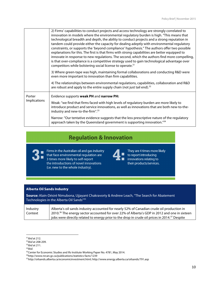|                        | 2) Firms' capabilities to conduct projects and access technology are strongly correlated to<br>innovation in models where the environmental regulatory burden is high. "This means that<br>technological breadth and depth, the ability to conduct projects and a strong reputation in<br>tandem could provide either the capacity for dealing adeptly with environmental regulatory<br>constraints, or supports the 'beyond compliance' hypothesis." The authors offer two possible<br>explanations for this. The first is that firms with strong capabilities are better equipped to<br>innovate in response to new regulations. The second, which the authors find more compelling,<br>is that over-compliance is a competitive strategy used to gain technological advantage over<br>competitors while bolstering social license to operate. <sup>31</sup> |
|------------------------|----------------------------------------------------------------------------------------------------------------------------------------------------------------------------------------------------------------------------------------------------------------------------------------------------------------------------------------------------------------------------------------------------------------------------------------------------------------------------------------------------------------------------------------------------------------------------------------------------------------------------------------------------------------------------------------------------------------------------------------------------------------------------------------------------------------------------------------------------------------|
|                        | 3) Where green-tape was high, maintaining formal collaborations and conducting R&D were<br>even more important to innovation than firm capabilities.                                                                                                                                                                                                                                                                                                                                                                                                                                                                                                                                                                                                                                                                                                           |
|                        | 4) The relationships between environmental regulations, capabilities, collaboration and R&D<br>are robust and apply to the entire supply chain (not just tail end). $32$                                                                                                                                                                                                                                                                                                                                                                                                                                                                                                                                                                                                                                                                                       |
| Porter<br>Implications | Evidence supports weak PH and narrow PH:                                                                                                                                                                                                                                                                                                                                                                                                                                                                                                                                                                                                                                                                                                                                                                                                                       |
|                        | Weak: "we find that firms faced with high levels of regulatory burden are more likely to<br>introduce product and service innovations, as well as innovations that are both new-to-the-<br>industry and new-to-the-firm". <sup>33</sup>                                                                                                                                                                                                                                                                                                                                                                                                                                                                                                                                                                                                                        |
|                        | Narrow: "Our tentative evidence suggests that the less prescriptive nature of the regulatory<br>approach taken by the Queensland government is supporting innovation."34                                                                                                                                                                                                                                                                                                                                                                                                                                                                                                                                                                                                                                                                                       |

## **Regulation & Innovation**

 $\blacksquare$ 

Firms in the Australian oil and gas industry that face environmental regulation are 3 times more likely to self-report the introductions of novel innovations (i.e. new to the whole industry).

 $\blacksquare$  $\blacksquare$ 

They are 4 times more likely to report introducing innovations relating to their products/services.

#### **Alberta Oil Sands Industry**

| <b>Source:</b> Alain-Désiré Nimubona, Ujjayant Chakravorty & Andrew Leach, "The Search for Abatement<br>Technologies in the Alberta Oil Sands" <sup>35</sup> |                                                                                                                                                                                                                                                                                                                    |
|--------------------------------------------------------------------------------------------------------------------------------------------------------------|--------------------------------------------------------------------------------------------------------------------------------------------------------------------------------------------------------------------------------------------------------------------------------------------------------------------|
| Industry<br>Context                                                                                                                                          | Alberta's oil sands industry accounted for nearly 52% of Canadian crude oil production in<br>2010. <sup>36</sup> The energy sector accounted for over 22% of Alberta's GDP in 2012 and one in sixteen<br>jobs were directly related to energy prior to the drop in crude oil prices in 2014. <sup>37</sup> Despite |

<sup>31</sup>*Ibid* at 212.

<sup>32</sup>*Ibid* at 208-209.

<sup>33</sup>*Ibid* at 211.

<sup>34</sup>*Ibid*.

<sup>&</sup>lt;sup>35</sup> Center for Economic Studies and Ifo Institute Working Paper No. 4781, May 2014.

<sup>36</sup>http://www.nrcan.gc.ca/publications/statistics-facts/1239

<sup>37</sup>http://oilsands.alberta.ca/economicinvestment.html; http://www.energy.alberta.ca/oilsands/791.asp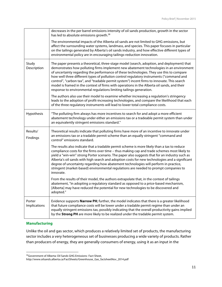|                        | decreases in the per barrel emissions intensity of oil sands production, growth in the sector<br>has led to absolute emissions growth. <sup>38</sup><br>The environmental impacts of the Alberta oil sands are not limited to GHG emissions, but<br>affect the surrounding water systems, landmass, and species. This paper focuses in particular<br>on the tailings generated by Alberta's oil sands industry, and how effective different types of<br>environmental policy are in encouraging tailings-reduction innovation.                                                                                                                      |
|------------------------|-----------------------------------------------------------------------------------------------------------------------------------------------------------------------------------------------------------------------------------------------------------------------------------------------------------------------------------------------------------------------------------------------------------------------------------------------------------------------------------------------------------------------------------------------------------------------------------------------------------------------------------------------------|
| Study<br>Description   | The paper presents a theoretical, three-stage model (search, adoption, and deployment) that<br>demonstrates how polluting firms implement new abatement technologies in an environment<br>of uncertainty regarding the performance of these technologies. They use this to compare<br>how well three different types of pollution control regulatory instruments ("command and<br>control", "carbon tax", and "tradable permit system") incent firms to innovate. This search<br>model is framed in the context of firms with operations in the Alberta oil sands, and their<br>response to environmental regulations limiting tailings generation. |
|                        | The authors also use their model to examine whether increasing a regulation's stringency<br>leads to the adoption of profit-increasing technologies, and compare the likelihood that each<br>of the three regulatory instruments will lead to lower total compliance costs.                                                                                                                                                                                                                                                                                                                                                                         |
| Hypothesis             | "The polluting firm always has more incentives to search for and adopt a more efficient<br>abatement technology under either an emissions tax or a tradeable permit system than under<br>an equivalently stringent emissions standard."                                                                                                                                                                                                                                                                                                                                                                                                             |
| Results/<br>Findings   | Theoretical results indicate that polluting firms have more of an incentive to innovate under<br>an emissions tax or a tradable permit scheme than an equally stringent "command and<br>control" emissions standard.                                                                                                                                                                                                                                                                                                                                                                                                                                |
|                        | The results also indicate that a tradable permit scheme is more likely than a tax to reduce<br>compliance costs for the firms over time - thus making cap and trade schemes most likely to<br>yield a "win-win" strong Porter scenario. The paper also suggests that for an industry such as<br>Alberta's oil sands with high search and adoption costs for new technologies and a significant<br>degree of uncertainty regarding how abatement technologies will perform in practice,<br>stringent (market-based) environmental regulations are needed to prompt companies to<br>innovate.                                                         |
|                        | From the results of their model, the authors extrapolate that, in the context of tailings<br>abatement, "in adopting a regulatory standard as opposed to a price-based mechanism,<br>[Alberta] may have reduced the potential for new technologies to be discovered and<br>adopted."                                                                                                                                                                                                                                                                                                                                                                |
| Porter<br>Implications | Evidence supports Narrow PH; further, the model indicates that there is a greater likelihood<br>that future compliance costs will be lower under a tradable permit regime than under an<br>equally stringent emissions tax, possibly indicating that the overall productivity gains implied<br>by the Strong PH are more likely to be realized under the tradable permit system.                                                                                                                                                                                                                                                                    |

#### **Manufacturing**

Unlike the oil and gas sector, which produces a relatively limited set of products, the manufacturing sector includes a very heterogeneous set of businesses producing a wide variety of products. Rather than producers of energy, they are generally consumers of energy, using it as an input in the

<sup>38</sup> Government of Alberta: Oil Sands GHG Emissions- Fact Sheet,

http://www.oilsands.alberta.ca/FactSheets/Greenhouse\_Gas\_factsheetNov\_2014.pdf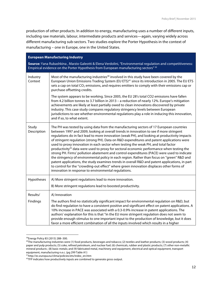production of other products. In addition to energy, manufacturing uses a number of different inputs, including raw materials, labour, intermediate products and services—again, varying widely across different manufacturing sub-sectors. Two studies explore the Porter Hypothesis in the context of manufacturing – one in Europe, one in the United States.

#### **European Manufacturing Industry**

**Source:** Yana Rubashkina , Marzio Galeotti & Elena Verdolini, "Environmental regulation and competitiveness: Empirical evidence on the Porter Hypothesis from European manufacturing sectors" 39

| Industry<br>Context  | Most of the manufacturing industries <sup>40</sup> involved in this study have been covered by the<br>European Union Emissions Trading System (EU ETS) <sup>41</sup> since its introduction in 2005. The EU ETS<br>sets a cap on total CO <sub>2</sub> emissions, and requires emitters to comply with their emissions cap or<br>purchase offsetting credits.                                                                                                                                                                                                                                                                                                                                                                                                                                                                                                                                                                                                                                                                        |
|----------------------|--------------------------------------------------------------------------------------------------------------------------------------------------------------------------------------------------------------------------------------------------------------------------------------------------------------------------------------------------------------------------------------------------------------------------------------------------------------------------------------------------------------------------------------------------------------------------------------------------------------------------------------------------------------------------------------------------------------------------------------------------------------------------------------------------------------------------------------------------------------------------------------------------------------------------------------------------------------------------------------------------------------------------------------|
|                      | The system appears to be working. Since 2005, the EU 28's total CO2 emissions have fallen<br>from 4.2 billion tonnes to 3.7 billion in 2013 - a reduction of nearly 12%. Europe's mitigation<br>achievements are likely at least partially owed to clean innovations discovered by private<br>industry. This case study compares regulatory stringency levels between European<br>jurisdictions to see whether environmental regulations play a role in inducing this innovation,<br>and if so, to what extent.                                                                                                                                                                                                                                                                                                                                                                                                                                                                                                                      |
| Study<br>Description | The PH was tested by using data from the manufacturing sectors of 17 European countries<br>between 1997 and 2009, looking at overall trends in innovation to see if more stringent<br>regulations do in fact lead to more innovation (weak PH), and looking at productivity impacts<br>of stringent regulation (strong PH). Data on R&D expenditures and patent applications were<br>used to proxy innovation in each sector when testing the weak PH, and total factor<br>productivity <sup>42</sup> data were used to proxy for sectoral economic performance when testing the<br>strong PH. Firms' pollution abatement and control expenditures (PACE) were used to indicate<br>the stringency of environmental policy in each region. Rather than focus on "green" R&D and<br>patent applications, the study examines trends in overall R&D and patent applications, in part<br>to control for the "crowding-out effect" where green innovation displaces other forms of<br>innovation in response to environmental regulations. |
| Hypotheses           | A) More stringent regulations lead to more innovation.                                                                                                                                                                                                                                                                                                                                                                                                                                                                                                                                                                                                                                                                                                                                                                                                                                                                                                                                                                               |
|                      | B) More stringent regulations lead to boosted productivity.                                                                                                                                                                                                                                                                                                                                                                                                                                                                                                                                                                                                                                                                                                                                                                                                                                                                                                                                                                          |
| Results/             | A) Innovation                                                                                                                                                                                                                                                                                                                                                                                                                                                                                                                                                                                                                                                                                                                                                                                                                                                                                                                                                                                                                        |
| Findings             | The authors find no statistically significant impact for environmental regulation on R&D, but<br>do find regulation to have a consistent positive and significant effect on patent applications. A<br>10% increase in PACE was associated with a 0.3-0.9% increase in patent applications. The<br>authors' explanation for this is that "in the EU more stringent regulation does not seem to<br>provide enough stimulus to one important input to the production of knowledge, but it does<br>favor a more efficient combination of all the inputs involved which results in a higher                                                                                                                                                                                                                                                                                                                                                                                                                                               |

<sup>39</sup>Energy Policy 83 (2015) 288–300.

 $40$ The manufacturing industries were (1) food products, beverages and tobacco; (2) textiles and leather products; (3) wood products; (4) paper and pulp products; (5) coke, refined petroleum, and nuclear fuel; (6) chemicals, rubber and plastic products; (7) other non-metallic mineral products ; (8) basic metals; and (9) fabricated metal, machinery and equipment, electrical and optical equipment, transport equipment, manufacturing n.e.c. (pg 299 Table A1)

<sup>41</sup>http://ec.europa.eu/clima/policies/ets/index\_en.htm

<sup>&</sup>lt;sup>42</sup>TFP indicates how productively inputs are combined to generate gross output.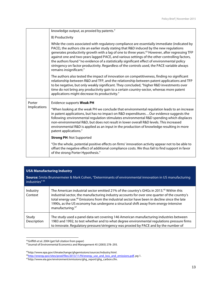| knowledge output, as proxied by patents."                                                                                                                                                                                                                                                                                                                                                                                                                                                                                                                                                                                            |
|--------------------------------------------------------------------------------------------------------------------------------------------------------------------------------------------------------------------------------------------------------------------------------------------------------------------------------------------------------------------------------------------------------------------------------------------------------------------------------------------------------------------------------------------------------------------------------------------------------------------------------------|
| B) Productivity                                                                                                                                                                                                                                                                                                                                                                                                                                                                                                                                                                                                                      |
| While the costs associated with regulatory compliance are essentially immediate (indicated by<br>PACE), the authors cite an earlier study stating that R&D induced by the new regulations<br>generates productivity growth with a lag of one to three years. <sup>43</sup> However, after regressing TFP<br>against one and two-years lagged PACE, and various settings of the other controlling factors,<br>the authors found "no evidence of a statistically significant effect of environmental policy<br>stringency on factor productivity. Regardless of the controls used, the PACE variable always<br>remains insignificant." |
| The authors also tested the impact of innovation on competitiveness, finding no significant<br>relationship between R&D and TFP, and the relationship between patent applications and TFP<br>to be negative, but only weakly significant. They concluded, "higher R&D investments over<br>time do not bring any productivity gain to a certain country-sector, whereas more patent<br>applications might decrease its productivity."                                                                                                                                                                                                 |
| Evidence supports Weak PH                                                                                                                                                                                                                                                                                                                                                                                                                                                                                                                                                                                                            |
| "When looking at the weak PH we conclude that environmental regulation leads to an increase<br>in patent applications, but has no impact on R&D expenditures Our evidence suggests the<br>following: environmental regulation stimulates environmental R&D spending which displaces<br>non-environmental R&D, but does not result in lower overall R&D levels. This increased<br>environmental R&D is applied as an input in the production of knowledge resulting in more<br>patent applications."                                                                                                                                  |
| <b>Strong PH: Not Supported</b>                                                                                                                                                                                                                                                                                                                                                                                                                                                                                                                                                                                                      |
| "On the whole, potential positive effects on firms' innovation activity appear not to be able to<br>offset the negative effect of additional compliance costs. We thus fail to find support in favor<br>of the strong Porter Hypothesis."                                                                                                                                                                                                                                                                                                                                                                                            |
|                                                                                                                                                                                                                                                                                                                                                                                                                                                                                                                                                                                                                                      |

#### **USA Manufacturing Industry**

**Source:** Smita Brunnermeier & Mark Cohen, "Determinants of environmental innovation in US manufacturing industries" <sup>44</sup>

| Industry<br>Context  | The American industrial sector emitted 21% of the country's GHGs in 2013. <sup>45</sup> Within this<br>industrial sector, the manufacturing industry accounts for over one quarter of the country's<br>total energy use. <sup>46</sup> Emissions from the industrial sector have been in decline since the late<br>1990s, as the US economy has undergone a structural shift away from energy-intensive<br>manufacturing. <sup>47</sup> |
|----------------------|-----------------------------------------------------------------------------------------------------------------------------------------------------------------------------------------------------------------------------------------------------------------------------------------------------------------------------------------------------------------------------------------------------------------------------------------|
| Study<br>Description | The study used a panel data-set covering 146 American manufacturing industries between<br>1983 and 1992, to test whether and to what degree environmental regulations pressure firms<br>to innovate. Regulatory pressure/stringency was proxied by PACE and by the number of                                                                                                                                                            |

<sup>43</sup>Griffith et al. 2004 (get full citation from paper)

<sup>44</sup>Journal of Environmental Economics and Management 45 (2003) 278–293.

<sup>45</sup>http://www.epa.gov/climatechange/ghgemissions/sources/industry.html.

<sup>46</sup>http://energy.gov/sites/prod/files/2013/11/f4/energy\_use\_and\_loss\_and\_emissions.pdf, pg 1.

<sup>47</sup>http://www.eia.gov/environment/emissions/ghg\_report/ghg\_carbon.cfm.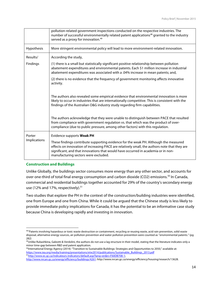|                        | pollution-related government inspections conducted on the respective industries. The<br>number of successful environmentally related patent applications <sup>48</sup> granted to the industry<br>served as a proxy for innovation. <sup>49</sup>                                                                  |
|------------------------|--------------------------------------------------------------------------------------------------------------------------------------------------------------------------------------------------------------------------------------------------------------------------------------------------------------------|
| Hypothesis             | More stringent environmental policy will lead to more environment-related innovation.                                                                                                                                                                                                                              |
| Results/               | According the study,                                                                                                                                                                                                                                                                                               |
| Findings               | (1) there is a small but statistically significant positive relationship between pollution<br>abatement expenditures and environmental patents. Each \$1 million increase in industrial<br>abatement expenditures was associated with a .04% increase in mean patents; and,                                        |
|                        | (2) there is no evidence that the frequency of government monitoring affects innovative<br>activity.                                                                                                                                                                                                               |
|                        | The authors also revealed some empirical evidence that environmental innovation is more<br>likely to occur in industries that are internationally competitive. This is consistent with the<br>findings of the Australian O&G industry study regarding firm capabilities.                                           |
|                        | The authors acknowledge that they were unable to distinguish between PACE that resulted<br>from compliance with government regulation vs. that which was the product of over-<br>compliance (due to public pressure, among other factors) with this regulation.                                                    |
| Porter<br>Implications | Evidence supports Weak PH                                                                                                                                                                                                                                                                                          |
|                        | These findings contribute supporting evidence for the weak PH. Although the measured<br>effects on innovation of increasing PACE are relatively small, the authors note that they are<br>significant, and that innovations that would have occurred in academia or in non-<br>manufacturing sectors were excluded. |

#### **Construction and Buildings**

<u> 1989 - Jan Samuel Barbara, margaret e</u>

Unlike Globally, the buildings sector consumes more energy than any other sector, and accounts for over one-third of total final energy consumption and carbon dioxide (CO2) emissions.<sup>50</sup> In Canada, commercial and residential buildings together accounted for 29% of the country's secondary energy use (12% and 17%, respectively).<sup>51</sup>

Two studies that explore the PH in the context of the construction/building industries were identified, one from Europe and one from China. While it could be argued that the Chinese study is less likely to provide immediate policy implications for Canada, it has the potential to be an informative case study because China is developing rapidly and investing in innovation.

<sup>48&</sup>quot;Patents involving hazardous or toxic waste destruction or containment, recycling or reusing waste, acid rain prevention, solid waste disposal, alternative energy sources, air pollution prevention and water pollution prevention were counted as ''environmental patents." (pg 282)

 $49$ Unlike Rubashkina, Galeotti & Verdolini, the authors do not use a lag structure in their model, stating that the literature indicates only a minor time-gap between R&D and patent application.

<sup>&</sup>lt;sup>50</sup>International Energy Agency (2014): "Transition to Sustainable Buildings: Strategies and Opportunities to 2050," available at: https://www.iea.org/media/training/presentations/etw2014/publications/Sustainable\_Buildings\_2013.pdf 51http://www.ec.gc.ca/indicateurs-indicators/default.asp?lang=en&n=F60DB708-1;

http://www.nrcan.gc.ca/energy/efficiency/buildings/4261: http://www.nrcan.gc.ca/energy/efficiency/housing/research/13628.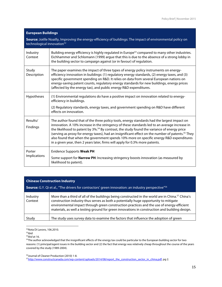| Source: Joëlle Noailly, Improving the energy-efficiency of buildings: The impact of environmental policy on<br>technological innovation <sup>52</sup> |                                                                                                                                                                                                                                                                                                                                                                                                                                                                                                                                                                                                     |
|-------------------------------------------------------------------------------------------------------------------------------------------------------|-----------------------------------------------------------------------------------------------------------------------------------------------------------------------------------------------------------------------------------------------------------------------------------------------------------------------------------------------------------------------------------------------------------------------------------------------------------------------------------------------------------------------------------------------------------------------------------------------------|
| Industry<br>Context                                                                                                                                   | Building energy efficiency is highly regulated in Europe <sup>53</sup> compared to many other industries.<br>Eichhammer and Schlomann (1999) argue that this is due to the absence of a strong lobby in<br>the building sector to campaign against (or in favour) of regulation.                                                                                                                                                                                                                                                                                                                    |
| Study<br>Description                                                                                                                                  | The paper examines the impact of three types of energy policy instruments on energy-<br>efficiency innovation in buildings: (1) regulatory energy standards, (2) energy taxes, and (3)<br>specific government spending on R&D. It relies on data from several European nations on<br>energy-saving patent counts, regulatory energy standards for new buildings, energy prices<br>(affected by the energy tax), and public energy R&D expenditures.                                                                                                                                                 |
| Hypotheses                                                                                                                                            | (1) Environmental regulations do have a positive impact on innovation related to energy-<br>efficiency in buildings.<br>(2) Regulatory standards, energy taxes, and government spending on R&D have different<br>effects on innovation.                                                                                                                                                                                                                                                                                                                                                             |
| Results/<br>Findings                                                                                                                                  | The author found that of the three policy tools, energy standards had the largest impact on<br>innovation. A 10% increase in the stringency of these standards led to an average increase in<br>the likelihood to patent by 3%. <sup>54</sup> By contrast, the study found the variance of energy price<br>(serving as proxy for energy taxes), had an insignificant effect on the number of patents. <sup>55</sup> They<br>also found that when the government spends 10% more on specific energy R&D expenditures<br>in a given year, then 2 years later, firms will apply for 0.3% more patents. |
| Porter<br>Implications                                                                                                                                | Evidence Supports Weak PH<br>Some support for <b>Narrow PH</b> : Increasing stringency boosts innovation (as measured by<br>likelihood to patent).                                                                                                                                                                                                                                                                                                                                                                                                                                                  |

| <b>Chinese Construction Industry</b><br><b>Source:</b> G.Y. Qi et al., "The drivers for contractors' green innovation: an industry perspective" <sup>56</sup> |                                                                                                                                                                                                                                                                                                                                                                                                     |
|---------------------------------------------------------------------------------------------------------------------------------------------------------------|-----------------------------------------------------------------------------------------------------------------------------------------------------------------------------------------------------------------------------------------------------------------------------------------------------------------------------------------------------------------------------------------------------|
| Industry<br>Context                                                                                                                                           | More than a third of all of the buildings being constructed in the world are in China. <sup>57</sup> China's<br>construction industry thus serves as both a potentially huge opportunity to mitigate<br>environmental impact through green construction practices and the use of energy-efficient<br>materials, as well a testing ground for green innovations in construction and building design. |
| Study                                                                                                                                                         | The study uses survey data to examine the factors that influence the adoption of green                                                                                                                                                                                                                                                                                                              |

52Nota Di Lavoro, 106.2010.

**European Buildings**

<sup>54</sup>*Ibid* at 16.

55The author acknowledged that the insignificant effects of the energy tax could be particular to the European building sector for two reasons: (1) principal/agent issues in the building sector and (2) the fact that energy was relatively cheap throughout the course of the years covered by the study (1989-2004).

56Journal of Cleaner Production (2010) 1-8.

<u> 1989 - Jan Samuel Barbara, margaret e</u>

<sup>57</sup>http://www.constructcanada.com/wp-content/uploads/2014/08/report\_the\_construction\_sector\_in\_china.pdf, pg 2.

<sup>53</sup>ibid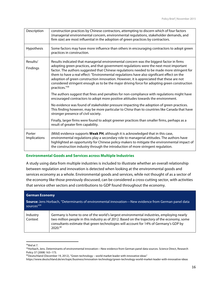| Description                   | construction practices by Chinese contractors, attempting to discern which of four factors<br>(managerial environmental concern, environmental regulations, stakeholder demands, and<br>firm size) are most influential in the adoption of green practices by contractors.                                                                                                                                                                                                                                                                                                                                                                                                                 |
|-------------------------------|--------------------------------------------------------------------------------------------------------------------------------------------------------------------------------------------------------------------------------------------------------------------------------------------------------------------------------------------------------------------------------------------------------------------------------------------------------------------------------------------------------------------------------------------------------------------------------------------------------------------------------------------------------------------------------------------|
| Hypothesis                    | Some factors may have more influence than others in encouraging contractors to adopt green<br>practices in construction.                                                                                                                                                                                                                                                                                                                                                                                                                                                                                                                                                                   |
| Results/<br>Findings          | Results indicated that managerial environmental concern was the biggest factor in firms<br>adopting green practices, and that government regulations were the next most important<br>factor. The authors suggested that Chinese regulations needed to be made more stringent for<br>them to have a real effect: "Environmental regulations have also significant effect on the<br>adoption of green construction innovation. However, it is appreciated that these are not<br>considered stringent enough as to be the major driving force for adopting green construction<br>practices."58<br>The authors suggest that fines and penalties for non-compliance with regulations might have |
|                               | encouraged contractors to adopt more positive attitudes towards the environment.<br>No evidence was found of stakeholder pressure impacting the adoption of green practices.<br>This finding however, may be more particular to China than to countries like Canada that have<br>stronger presence of civil society.                                                                                                                                                                                                                                                                                                                                                                       |
|                               | Finally, larger firms were found to adopt greener practices than smaller firms, perhaps as a<br>result of greater firm capability.                                                                                                                                                                                                                                                                                                                                                                                                                                                                                                                                                         |
| Porter<br><b>Implications</b> | (Mild) evidence supports Weak PH, although it is acknowledged that in this case,<br>environmental regulations play a secondary role to managerial attitudes. The authors have<br>highlighted an opportunity for Chinese policy-makers to mitigate the environmental impact of<br>the construction industry through the introduction of more stringent regulation.                                                                                                                                                                                                                                                                                                                          |

#### **Environmental Goods and Services across Multiple Industries**

A study using data from multiple industries is included to illustrate whether an overall relationship between regulation and innovation is detected when looking at the environmental goods and services economy as a whole. Environmental goods and services, while not thought of as a sector of the economy like those previously discussed, can be considered a cross-cutting sector, with activities that service other sectors and contributions to GDP found throughout the economy.

| <b>German Economy</b>                                                                                                    |                                                                                                                                                                                                                                                                                              |
|--------------------------------------------------------------------------------------------------------------------------|----------------------------------------------------------------------------------------------------------------------------------------------------------------------------------------------------------------------------------------------------------------------------------------------|
| <b>Source:</b> Jens Horbach, "Determinants of environmental innovation—New evidence from German panel data<br>sources"59 |                                                                                                                                                                                                                                                                                              |
| Industry<br>Context                                                                                                      | Germany is home to one of the world's largest environmental industries, employing nearly<br>two million people in this industry as of 2012. Based on the trajectory of the economy, some<br>consultants estimate that green technologies will account for 14% of Germany's GDP by<br>2020.60 |

<sup>&</sup>lt;u> 1989 - Jan Samuel Barbara, margaret e</u> <sup>58</sup>*Ibid* at 7.

<sup>59</sup>Horbach, Jens. Determinants of environmental innovation—New evidence from German panel data sources. Science Direct, Research Policy 37 (2008) 163–173.

 $60$ Deutschland (December 19, 2012), "Green technology – world market leader with innovative ideas"

https://www.deutschland.de/en/topic/business/innovation-technology/green-technology-world-market-leader-with-innovative-ideas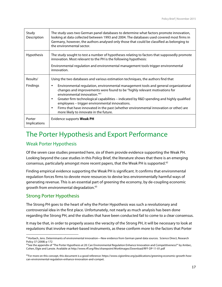| Study<br>Description          | The study uses two German panel databases to determine what factors promote innovation,<br>looking at data collected between 1993 and 2004. The databases used covered most firms in<br>Germany, however, the authors analysed only those that could be classified as belonging to<br>the environmental sector.                                                                                                                                                                                                                                                 |
|-------------------------------|-----------------------------------------------------------------------------------------------------------------------------------------------------------------------------------------------------------------------------------------------------------------------------------------------------------------------------------------------------------------------------------------------------------------------------------------------------------------------------------------------------------------------------------------------------------------|
| <b>Hypothesis</b>             | The study sought to test a number of hypotheses relating to factors that supposedly promote<br>innovation. Most relevant to the PH is the following hypothesis:<br>Environmental regulation and environmental management tools trigger environmental<br>innovation.                                                                                                                                                                                                                                                                                             |
| Results/<br><b>Findings</b>   | Using the two databases and various estimation techniques, the authors find that<br>Environmental regulation, environmental management tools and general organizational<br>٠<br>changes and improvements were found to be "highly relevant motivations for<br>environmental innovation." <sup>61</sup><br>Greater firm technological capabilities - indicated by R&D spending and highly qualified<br>$\bullet$<br>employees - trigger environmental innovations.<br>Firms that have innovated in the past (whether environmental innovation or other) are<br>٠ |
| Porter<br><b>Implications</b> | more likely to innovate in the future.<br>Evidence supports <b>Weak PH</b>                                                                                                                                                                                                                                                                                                                                                                                                                                                                                      |

## The Porter Hypothesis and Export Performance

### Weak Porter Hypothesis

Of the seven case studies presented here, six of them provide evidence supporting the Weak PH. Looking beyond the case studies in this Policy Brief, the literature shows that there is an emerging consensus, particularly amongst more recent papers, that the Weak PH is supported.<sup>62</sup>

Finding empirical evidence supporting the Weak PH is significant. It confirms that environmental regulation forces firms to devote more resources to devise less environmentally harmful ways of generating revenue. This is an essential part of greening the economy, by de-coupling economic growth from environmental degradation.<sup>63</sup>

### Strong Porter Hypothesis

<u> 1989 - Jan Samuel Barbara, margaret e</u>

The Strong PH goes to the heart of why the Porter Hypothesis was such a revolutionary and controversial idea in the first place. Unfortunately, not nearly as much analysis has been done regarding the Strong PH, and the studies that have been conducted fail to come to a clear consensus.

It may be that, in order to properly assess the veracity of the Strong PH, it will be necessary to look at regulations that involve market-based instruments, as these conform more to the factors that Porter

<sup>&</sup>lt;sup>61</sup> Horbach, Jens. Determinants of environmental innovation—New evidence from German panel data sources. Science Direct, Research Policy 37 (2008) p 172

<sup>&</sup>lt;sup>62</sup>See the appendix of "The Porter Hypothesis at 20: Can Environmental Regulation Enhance Innovation and Competitiveness?" by Ambec, Cohen, Elgie and Lanoie. Available at http://www.rff.org/files/sharepoint/WorkImages/Download/RFF-DP-11-01.pdf

<sup>&</sup>lt;sup>63</sup>For more on this concept, this document is a good reference: https://www.cigionline.org/publications/greening-economic-growth-howcan-environmental-regulation-enhance-innovation-and-compet.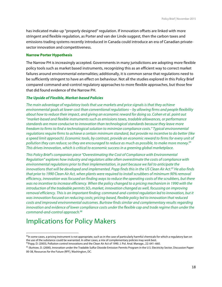has indicated make-up "properly designed" regulation. If innovation offsets are linked with more stringent and flexible regulation, as Porter and van der Linde suggest, then the carbon taxes and emissions trading systems recently introduced in Canada could introduce an era of Canadian privatesector innovation and competitiveness.

#### **Narrow Porter Hypothesis**

The Narrow PH is increasingly accepted. Governments in many jurisdictions are adopting more flexible policy tools such as market based instruments, recognizing this as an efficient way to correct market failures around environmental externalities; additionally, it is common sense that regulations need to be sufficiently stringent to have an effect on behaviour. Not all the studies explored in this Policy Brief compared command-and-control regulatory approaches to more flexible approaches, but those few that did found evidence of the Narrow PH.

#### *The Upside of Flexible, Market-based Policies*

*The main advantage of regulatory tools that use markets and price signals is that they achieve environmental goals at lower cost than conventional regulations – by allowing firms and people flexibility about how to reduce their impact, and giving an economic reward for doing so. Cohen et al. point out "market-based and flexible instruments such as emissions taxes, tradable allowances, or performance standards are more conducive to innovation than technological standards because they leave more freedom to firms to find a technological solution to minimize compliance costs." Typical environmental regulations require firms to achieve a certain minimum standard, but provide no incentive to do better (like a speed limit approach). Economic tools, by contrast, provide an economic reward to firms for every unit of pollution they can reduce; so they are encouraged to reduce as much as possible, to make more money.64 This drives innovation, which is critical to economic success in a greening global marketplace.* 

*This Policy Brief's companion piece "Overestimating the Cost of Compliance with Environmental Regulation" explores how industry and regulators alike often overestimate the costs of compliance with environmental regulations prior to their implementation, in part because we fail to anticipate the innovations that will be developed and implemented. Popp finds this in the US Clean Air Act.65 He also finds that prior to 1990 Clean Air Act, when plants were required to install scrubbers of minimum 90% removal efficiency, innovation was focused on finding ways to reduce the operating costs of the scrubbers, but there was no incentive to increase efficiency. When the policy changed to a pricing mechanism in 1990 with the introduction of the tradeable permits SO<sub>2</sub> market, innovation changed as well, focussing on improving removal efficiency. This is an important finding: command-and-control regulation led to innovation, but it was innovation focused on reducing costs; pricing-based, flexible policy led to innovation that reduced costs and improved environmental outcomes. Burtraw finds similar and complementary results regarding innovation and evidence of lower compliance costs under the flexible cap and trade regime than under the command-and-control approach.66*

## Implications for Policy Makers

<sup>&</sup>lt;sup>64</sup>In some cases, a pricing instrument is not appropriate, such as in the case of particularly harmful chemicals for which a regulatory ban on the use of the substance could be warranted. In other cases, a mix of complementary policies may work best.

<sup>65</sup>Popp, D. (2003), Pollution control innovations and the Clean Air Act of 1990. J. Pol. Anal. Manage., 22: 641–660.

<sup>&</sup>lt;sup>65</sup>: Burtraw, D. (2000), Innovation under the Tradable Sulfur Dioxide Emission Permits Program in the U.S. Electricity Sector, Discussion Paper 00-38, Resources for the Future (RFF), Washington, DC.